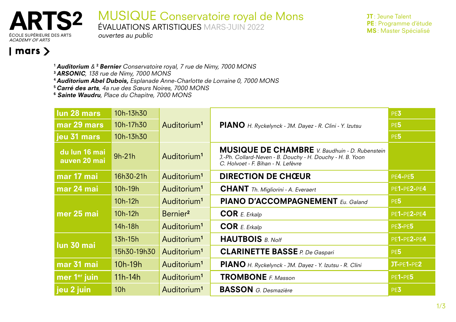

MUSIQUE Conservatoire royal de Mons

ÉVALUATIONS ARTISTIQUES MARS-JUIN 2022

JT: Jeune Talent PE: Programme d'étude MS: Master Spécialisé

**ACADEMY OF ARTS** 

## $\vert$  mars  $\rangle$

- <sup>1</sup> Auditorium & <sup>2</sup> Bernier Conservatoire royal, 7 rue de Nimy, 7000 MONS
- <sup>3</sup> ARSONIC, 138 rue de Nimy, 7000 MONS
- <sup>4</sup>Auditorium Abel Dubois, Esplanade Anne-Charlotte de Lorraine 0, 7000 MONS
- <sup>5</sup>Carré des arts, 4a rue des Sœurs Noires, 7000 MONS
- <sup>6</sup> Sainte Waudru, Place du Chapitre, 7000 MONS

ouvertes au public

| lun 28 mars                   | 10h-13h30       | Auditorium <sup>1</sup> | PIANO H. Ryckelynck - JM. Dayez - R. Clini - Y. Izutsu                                                                                                   | PE3             |
|-------------------------------|-----------------|-------------------------|----------------------------------------------------------------------------------------------------------------------------------------------------------|-----------------|
| mar 29 mars                   | 10h-17h30       |                         |                                                                                                                                                          | PE <sub>5</sub> |
| jeu 31 mars                   | 10h-13h30       |                         |                                                                                                                                                          | PE <sub>5</sub> |
| du lun 16 mai<br>auven 20 mai | $9h-21h$        | Auditorium <sup>1</sup> | <b>MUSIQUE DE CHAMBRE</b> V. Baudhuin - D. Rubenstein<br>J.-Ph. Collard-Neven - B. Douchy - H. Douchy - H. B. Yoon<br>C. Holvoet - F. Bihan - N. Lefèvre |                 |
| mar 17 mai                    | 16h30-21h       | Auditorium <sup>1</sup> | <b>DIRECTION DE CHŒUR</b>                                                                                                                                | PE4-PE5         |
| mar 24 mai                    | 10h-19h         | Auditorium <sup>1</sup> | <b>CHANT</b> Th. Migliorini - A. Everaert                                                                                                                | PE1-PE2-PE4     |
|                               | $10h-12h$       | Auditorium <sup>1</sup> | <b>PIANO D'ACCOMPAGNEMENT</b> Eu. Galand                                                                                                                 | PE <sub>5</sub> |
| mer 25 mai                    | $10h-12h$       | Bernier <sup>2</sup>    | <b>COR</b> E. Erkalp                                                                                                                                     | PE1-PE2-PE4     |
|                               | 14h-18h         | Auditorium <sup>1</sup> | COR E. Erkalp                                                                                                                                            | PE3-PE5         |
|                               | 13h-15h         | Auditorium <sup>1</sup> | <b>HAUTBOIS</b> B. Nolf                                                                                                                                  | PE1-PE2-PE4     |
| lun 30 mai                    | 15h30-19h30     | Auditorium <sup>1</sup> | <b>CLARINETTE BASSE</b> P. De Gaspari                                                                                                                    | PE <sub>5</sub> |
| mar 31 mai                    | $10h-19h$       | Auditorium <sup>1</sup> | PIANO H. Ryckelynck - JM. Dayez - Y. Izutsu - R. Clini                                                                                                   | $JT-PE1-PE2$    |
| mer 1 <sup>er</sup> juin      | $11h-14h$       | Auditorium <sup>1</sup> | <b>TROMBONE</b> F. Masson                                                                                                                                | <b>PE1-PE5</b>  |
| jeu 2 juin                    | 10 <sub>h</sub> | Auditorium <sup>1</sup> | <b>BASSON</b> G. Desmazière                                                                                                                              | PE3             |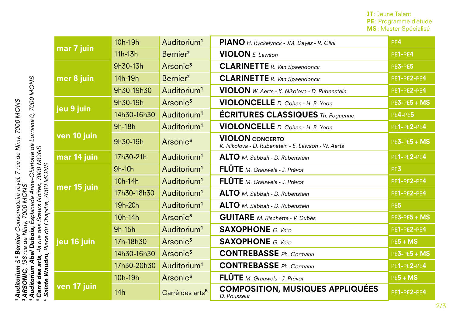JT: Jeune Talent PE: Programme d'étude MS: Master Spécialisé

|                       | mar 7 juin  | 10h-19h     | Auditorium <sup>1</sup>     | PIANO H. Ryckelynck - JM. Dayez - R. Clini                                   | PE4             |
|-----------------------|-------------|-------------|-----------------------------|------------------------------------------------------------------------------|-----------------|
|                       |             | 11h-13h     | Bernier <sup>2</sup>        | <b>VIOLON</b> $E.$ Lawson                                                    | PE1-PE4         |
|                       | mer 8 juin  | 9h30-13h    | Arsonic <sup>3</sup>        | <b>CLARINETTE</b> R. Van Spaendonck                                          | PE3-PE5         |
|                       |             | 14h-19h     | Bernier <sup>2</sup>        | <b>CLARINETTE</b> R. Van Spaendonck                                          | PE1-PE2-PE4     |
|                       |             | 9h30-19h30  | Auditorium <sup>1</sup>     | VIOLON W. Aerts - K. Nikolova - D. Rubenstein                                | PE1-PE2-PE4     |
|                       | jeu 9 juin  | 9h30-19h    | Arsonic <sup>3</sup>        | VIOLONCELLE D. Cohen - H. B. Yoon                                            | $PE3-PE5 + MS$  |
|                       |             | 14h30-16h30 | Auditorium <sup>1</sup>     | <b>ÉCRITURES CLASSIQUES</b> Th. Foguenne                                     | PE4-PE5         |
|                       | ven 10 juin | 9h-18h      | Auditorium <sup>1</sup>     | VIOLONCELLE D. Cohen - H. B. Yoon                                            | PE1-PE2-PE4     |
|                       |             | 9h30-19h    | Arsonic <sup>3</sup>        | <b>VIOLON</b> CONCERTO<br>K. Nikolova - D. Rubenstein - E. Lawson - W. Aerts | $PE3-PE5 + MS$  |
|                       | mar 14 juin | 17h30-21h   | Auditorium <sup>1</sup>     | ALTO M. Sabbah - D. Rubenstein                                               | PE1-PE2-PE4     |
|                       | mer 15 juin | 9h-10h      | Auditorium <sup>1</sup>     | FLÛTE M. Grauwels - J. Prévot                                                | PE3             |
| <b>SNOW 000Z</b>      |             | 10h-14h     | Auditorium <sup>1</sup>     | FLÛTE M. Grauwels - J. Prévot                                                | PE1-PE2-PE4     |
|                       |             | 17h30-18h30 | Auditorium <sup>1</sup>     | ALTO M. Sabbah - D. Rubenstein                                               | PE1-PE2-PE4     |
|                       |             | 19h-20h     | Auditorium <sup>1</sup>     | ALTO M. Sabbah - D. Rubenstein                                               | PE <sub>5</sub> |
| Chapitre,             | jeu 16 juin | 10h-14h     | Arsonic <sup>3</sup>        | <b>GUITARE</b> M. Rischette - V. Dubès                                       | $PE3-PE5 + MS$  |
| Ju                    |             | 9h-15h      | Auditorium <sup>1</sup>     | <b>SAXOPHONE</b> G. Vero                                                     | PE1-PE2-PE4     |
| Place                 |             | 17h-18h30   | Arsonic <sup>3</sup>        | <b>SAXOPHONE</b> G. Vero                                                     | $PE5 + MS$      |
|                       |             | 14h30-16h30 | Arsonic <sup>3</sup>        | <b>CONTREBASSE</b> Ph. Cormann                                               | $PE3-PE5 + MS$  |
| <b>Sainte Waudru,</b> |             | 17h30-20h30 | Auditorium <sup>1</sup>     | <b>CONTREBASSE</b> Ph. Cormann                                               | PE1-PE2-PE4     |
|                       | ven 17 juin | 10h-19h     | Arsonic <sup>3</sup>        | FLÛTE M. Grauwels - J. Prévot                                                | $PE5 + MS$      |
|                       |             | 14h         | Carré des arts <sup>5</sup> | <b>COMPOSITION, MUSIQUES APPLIQUÉES</b><br>D. Pousseur                       | PE1-PE2-PE4     |

1 **Auditorium** & <sup>2</sup> Bernier Conservatoire royal, 7 rue de Nimy, 7000 MONS<br><sup>3</sup> ARSONIC, 138 rue de Nimy, 7000 MONS<br>4 **Auditorium Abel Dubois,** Esplanade Anne-Charlotte de Lorraine 0, 7000 MONS<br><sup>5</sup> **Sainte Waudru**, Place du Auditorium & 2 Bernier Conservatoire royal, 7 rue de Nimy, 7000 MONS <sup>3</sup> ARSONIC, 138 rue de Nimy, 7000 MONS

4 Auditorium Abel Dubois, Esplanade Anne-Charlotte de Lorraine 0, 7000 MONS

5 **Carré des arts**, 4a rue des Sœurs Noires, 7000 MONS<br>6 Seinte Maudun, Disco du Chapitus 7000 MONS